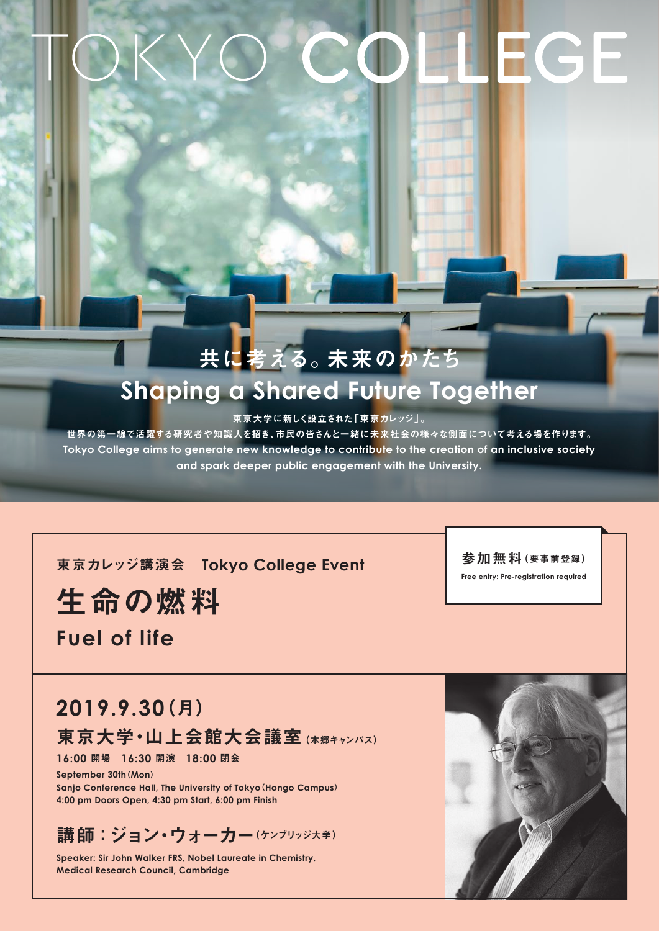# EGE

# 共に考える。未来のかたち **Shaping a Shared Future Together**

東京大学に新しく設立された「東京カレッジ」。

世界の第一線で活躍する研究者や知識人を招き、市民の皆さんと一緒に未来社会の様々な側面について考える場を作ります。 Tokyo College aims to generate new knowledge to contribute to the creation of an inclusive society and spark deeper public engagement with the University.

**東京カレッジ講演会 Tokyo College Event** 

生命の燃料

**Fuel of life** 

(月(**2019.9.30** 東京大学・山上会館大会議室 (本郷キャンパス)

閉会 **18:00** 開演 **16:30** 開場 **16:00**

September 30th (Mon) **Sanjo Conference Hall, The University of Tokyo (Hongo Campus)** 4:00 pm Doors Open, 4:30 pm Start, 6:00 pm Finish

講師:ジョン·ウォーカー(ケンブリッジ大学)

**Speaker: Sir John Walker FRS, Nobel Laureate in Chemistry, Medical Research Council, Cambridge** 



参加無料(要事前登録) **Free entry: Pre-registration required**